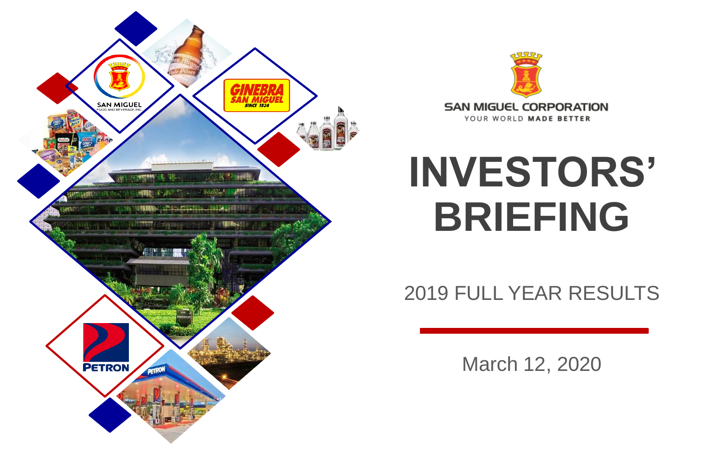



# **INVESTORS' BRIEFING**

2019 FULL YEAR RESULTS

March 12, 2020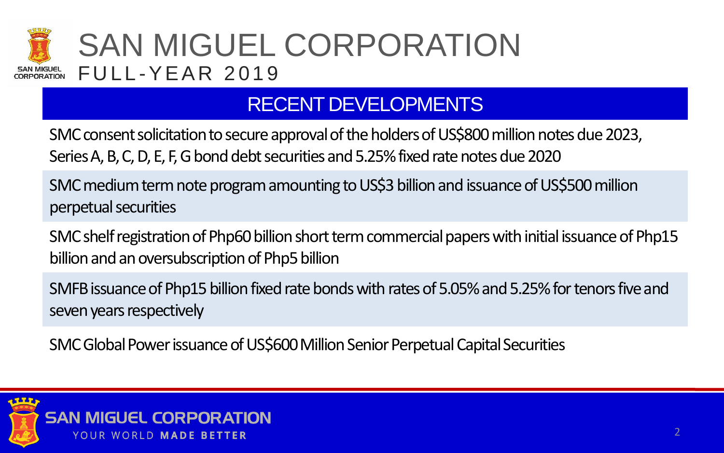

### RECENT DEVELOPMENTS

SMC consent solicitation to secure approval of the holders of US\$800 million notes due 2023, Series A, B, C, D, E, F, G bond debt securities and 5.25% fixed rate notes due 2020

SMCmedium term note program amounting to US\$3 billion and issuance of US\$500 million perpetual securities

SMC shelf registration of Php60 billion short term commercial papers with initial issuance of Php15 billion and an oversubscription of Php5 billion

SMFB issuance of Php15 billion fixed rate bonds with rates of 5.05% and 5.25% for tenors five and seven years respectively

SMC Global Power issuance of US\$600 Million Senior Perpetual Capital Securities

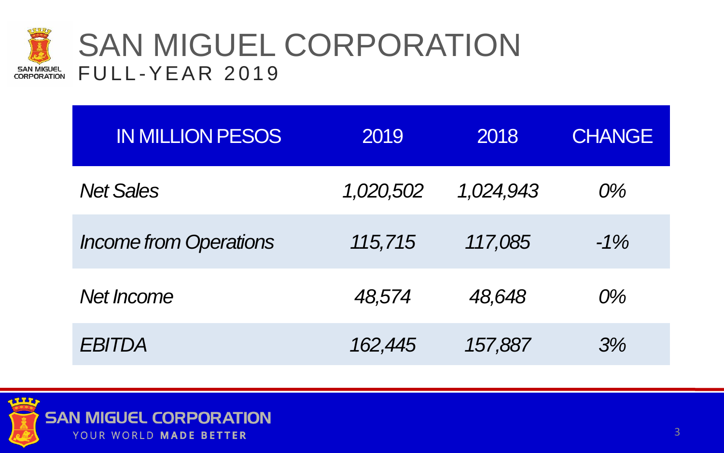

### SAN MIGUEL CORPORATION **FULL-YEAR 2019**

| <b>IN MILLION PESOS</b>       | 2019      | 2018      | <b>CHANGE</b> |
|-------------------------------|-----------|-----------|---------------|
| <b>Net Sales</b>              | 1,020,502 | 1,024,943 | $O\%$         |
| <b>Income from Operations</b> | 115,715   | 117,085   | $-1\%$        |
| Net Income                    | 48,574    | 48,648    | $O\%$         |
| EBITDA                        | 162,445   | 157,887   | 3%            |

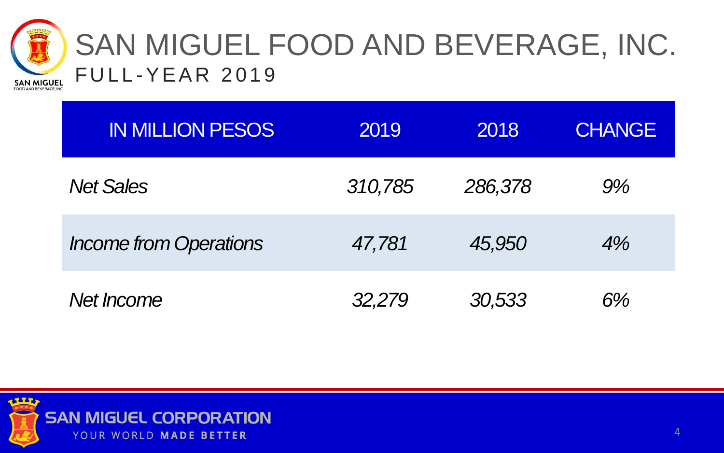

### SAN MIGUEL FOOD AND BEVERAGE, INC. **FULL-YEAR 2019**

| <b>IN MILLION PESOS</b>       | 2019    | 2018    | <b>CHANGE</b> |
|-------------------------------|---------|---------|---------------|
| <b>Net Sales</b>              | 310,785 | 286,378 | $9\%$         |
| <b>Income from Operations</b> | 47,781  | 45,950  | 4%            |
| Net <i>Income</i>             | 32,279  | 30,533  | 6%            |

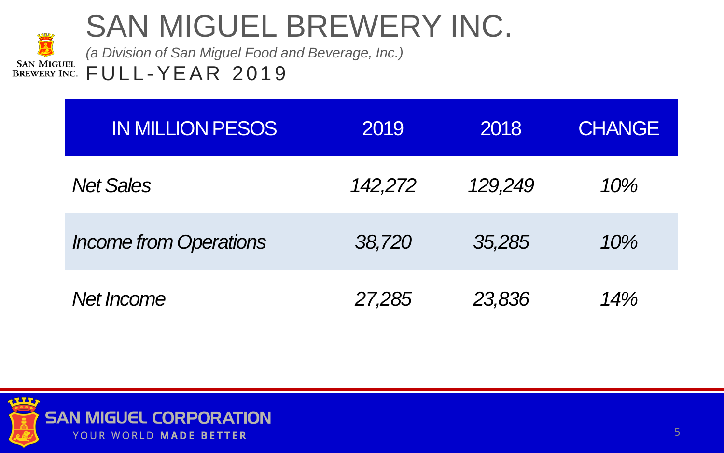## SAN MIGUEL BREWERY INC.

*(a Division of San Miguel Food and Beverage, Inc.)* **SAN MIGUEL FULL-YEAR 2019 BREWERY INC.** 

| <b>IN MILLION PESOS</b>       | 2019    | 2018    | <b>CHANGE</b> |
|-------------------------------|---------|---------|---------------|
| <b>Net Sales</b>              | 142,272 | 129,249 | 10%           |
| <b>Income from Operations</b> | 38,720  | 35,285  | 10%           |
| Net Income                    | 27,285  | 23,836  | 14%           |

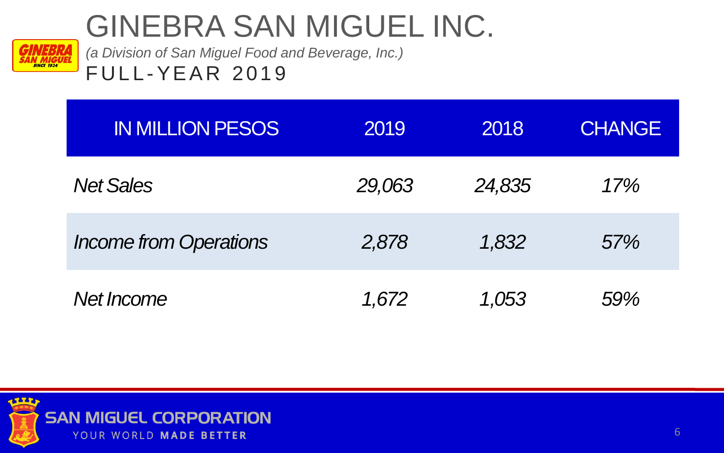## GINEBRA SAN MIGUEL INC.



*(a Division of San Miguel Food and Beverage, Inc.)* **FULL-YEAR 2019** 

| <b>IN MILLION PESOS</b>       | 2019   | 2018   | <b>CHANGE</b> |
|-------------------------------|--------|--------|---------------|
| <b>Net Sales</b>              | 29,063 | 24,835 | 17%           |
| <b>Income from Operations</b> | 2,878  | 1,832  | 57%           |
| Net Income                    | 1,672  | 1,053  | 59%           |

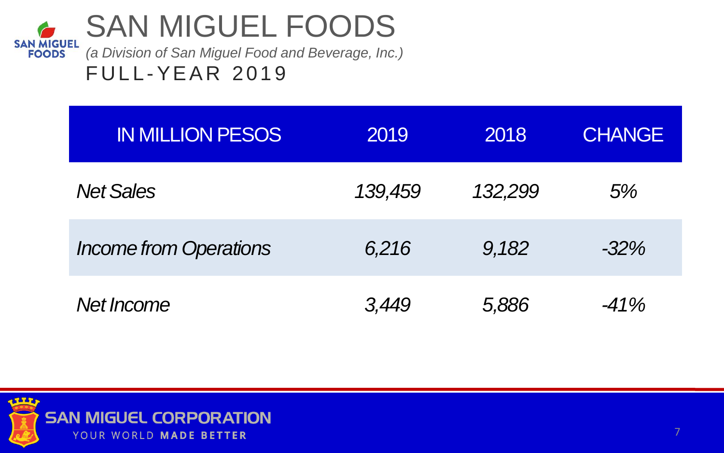

| <b>IN MILLION PESOS</b>       | 2019    | 2018    | <b>CHANGE</b> |
|-------------------------------|---------|---------|---------------|
| <b>Net Sales</b>              | 139,459 | 132,299 | 5%            |
| <b>Income from Operations</b> | 6,216   | 9,182   | $-32\%$       |
| Net Income                    | 3,449   | 5,886   | $-41\%$       |

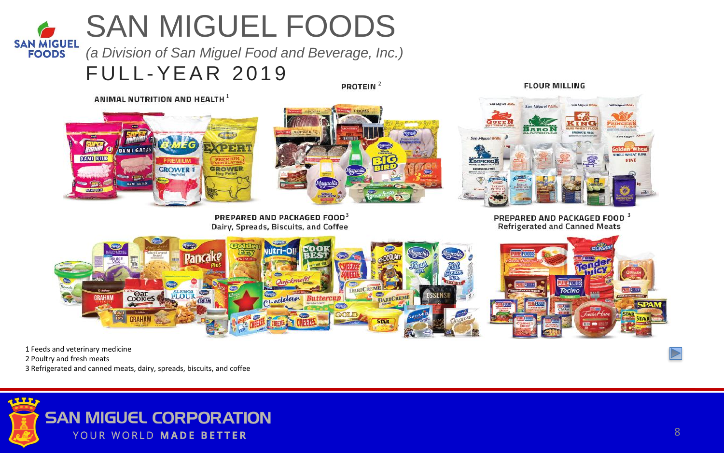### SAN MIGUEL FOODS **SAN MIGUEL**

**FOODS** *(a Division of San Miguel Food and Beverage, Inc.)*

### **FULL-YEAR 2019**

PROTEIN<sup>2</sup>

ANIMAL NUTRITION AND HEALTH<sup>1</sup>





PREPARED AND PACKAGED FOOD<sup>3</sup> and the set of the set of the set of the set of the set of the set of the set of the set of the set of the set of the set of the set of the set of the set of the set of the set of the set of t Dairy, Spreads, Biscuits, and Coffee

**FLOUR MILLING** 



**Refrigerated and Canned Meats** 



1 Feeds and veterinary medicine

2 Poultry and fresh meats

3 Refrigerated and canned meats, dairy, spreads, biscuits, and coffee

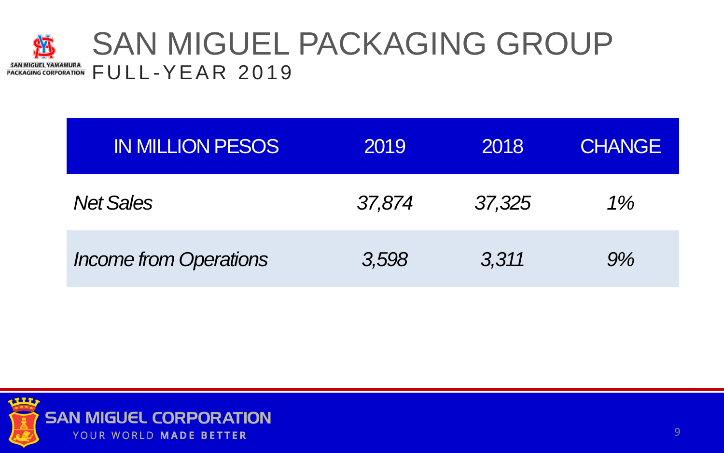#### SAN MIGUEL PACKAGING GROUP 疝 SAN MIGUEL YAMAMURA SAN MIGUEL YAMANURA<br>PACKAGING CORPORATION FULL-YEAR 2019

| <b>IN MILLION PESOS</b>       | 2019   | 2018   | <b>CHANGE</b> |
|-------------------------------|--------|--------|---------------|
| <b>Net Sales</b>              | 37,874 | 37,325 | $1\%$         |
| <b>Income from Operations</b> | 3,598  | 3,311  | 9%            |

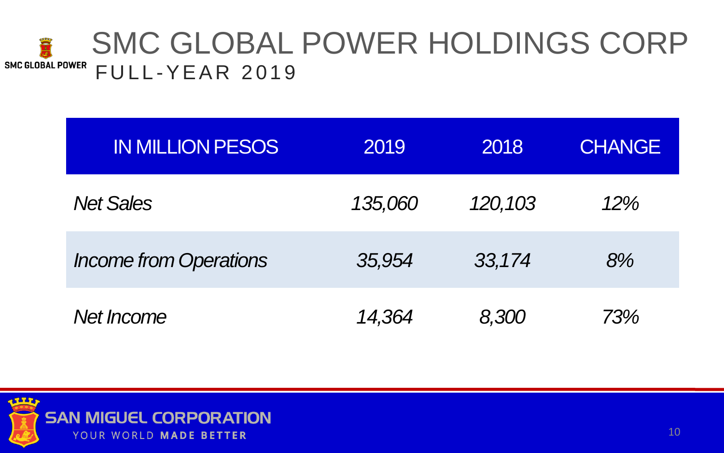#### SMC GLOBAL POWER HOLDINGS CORP **READ SMC GLOBAL POWER FULL-YEAR 2019**

| <b>IN MILLION PESOS</b>       | 2019    | 2018    | <b>CHANGE</b> |
|-------------------------------|---------|---------|---------------|
| <b>Net Sales</b>              | 135,060 | 120,103 | 12%           |
| <b>Income from Operations</b> | 35,954  | 33,174  | 8%            |
| Net <i>Income</i>             | 14,364  | 8,300   | 73%           |

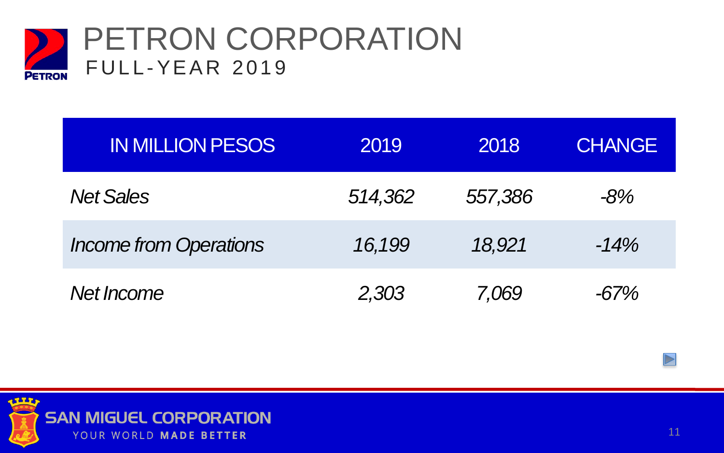

| <b>IN MILLION PESOS</b>       | 2019    | 2018    | <b>CHANGE</b> |
|-------------------------------|---------|---------|---------------|
| <b>Net Sales</b>              | 514,362 | 557,386 | $-8%$         |
| <b>Income from Operations</b> | 16,199  | 18,921  | $-14%$        |
| Net Income                    | 2,303   | 7,069   | $-67%$        |

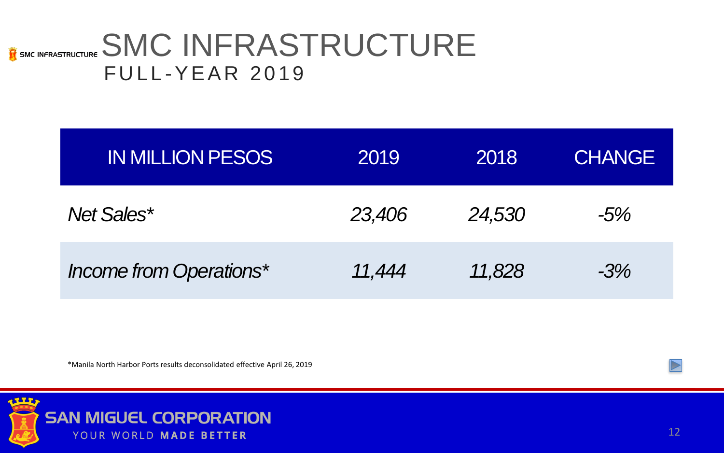### **E** SMC INFRASTRUCTURE **FULL-YEAR 2019**

| <b>IN MILLION PESOS</b> | 2019   | 2018   | <b>CHANGE</b> |
|-------------------------|--------|--------|---------------|
| Net Sales*              | 23,406 | 24,530 | $-5%$         |
| Income from Operations* | 11,444 | 11,828 | $-3%$         |

\*Manila North Harbor Ports results deconsolidated effective April 26, 2019

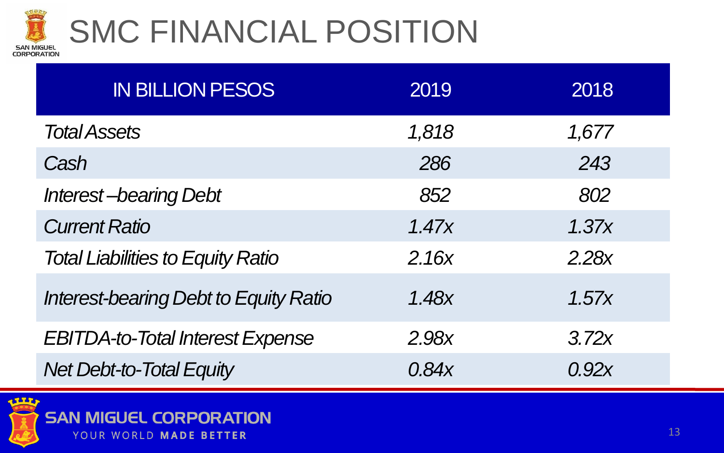

# SMC FINANCIAL POSITION

| <b>IN BILLION PESOS</b>                      | 2019  | 2018  |
|----------------------------------------------|-------|-------|
| <b>Total Assets</b>                          | 1,818 | 1,677 |
| Cash                                         | 286   | 243   |
| <b>Interest-bearing Debt</b>                 | 852   | 802   |
| <b>Current Ratio</b>                         | 1.47x | 1.37x |
| <b>Total Liabilities to Equity Ratio</b>     | 2.16x | 2.28x |
| <b>Interest-bearing Debt to Equity Ratio</b> | 1.48x | 1.57x |
| <b>EBITDA-to-Total Interest Expense</b>      | 2.98x | 3.72x |
| <b>Net Debt-to-Total Equity</b>              | 0.84x | 0.92x |